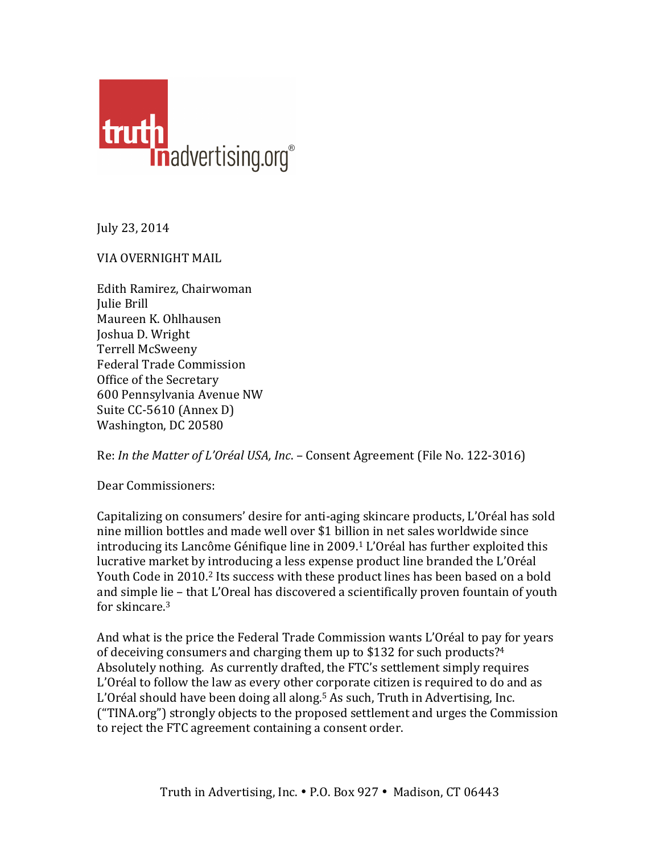

July 23, 2014

## VIA OVERNIGHT MAIL

Edith Ramirez, Chairwoman Julie Brill Maureen K. Ohlhausen Joshua D. Wright Terrell McSweeny Federal Trade Commission Office of the Secretary 600 Pennsylvania Avenue NW Suite CC-5610 (Annex D) Washington, DC 20580

Re: *In the Matter of L'Oréal USA, Inc.* – Consent Agreement (File No. 122-3016)

Dear Commissioners:

Capitalizing on consumers' desire for anti-aging skincare products, L'Oréal has sold nine million bottles and made well over \$1 billion in net sales worldwide since introducing its Lancôme Génifique line in 2009.<sup>1</sup> L'Oréal has further exploited this lucrative market by introducing a less expense product line branded the L'Oréal Youth Code in 2010.<sup>2</sup> Its success with these product lines has been based on a bold and simple lie – that L'Oreal has discovered a scientifically proven fountain of youth for skincare.<sup>3</sup>

And what is the price the Federal Trade Commission wants L'Oréal to pay for years of deceiving consumers and charging them up to \$132 for such products?<sup>4</sup> Absolutely nothing. As currently drafted, the FTC's settlement simply requires  $L'$ Oréal to follow the law as every other corporate citizen is required to do and as L'Oréal should have been doing all along.<sup>5</sup> As such, Truth in Advertising, Inc. ("TINA.org") strongly objects to the proposed settlement and urges the Commission to reject the FTC agreement containing a consent order.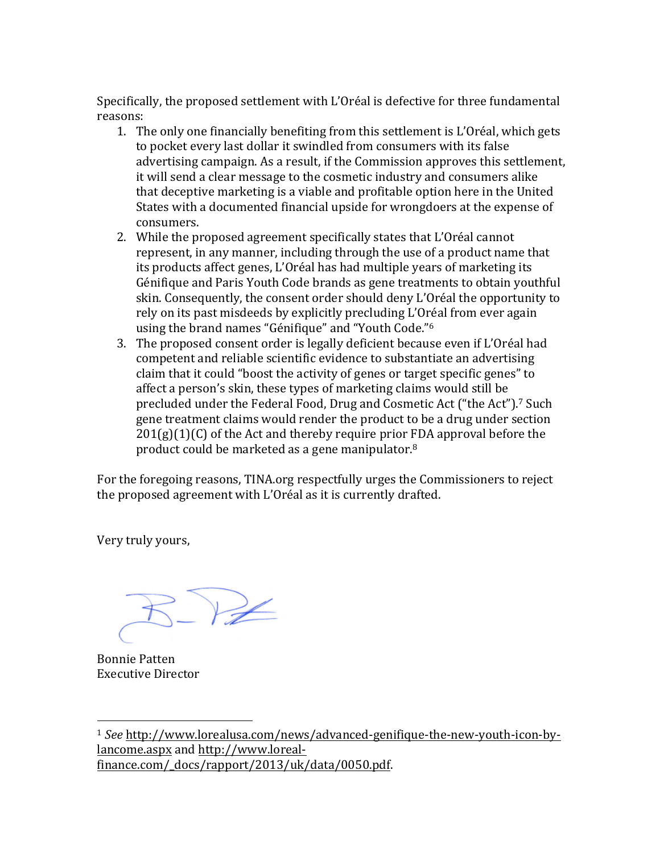Specifically, the proposed settlement with L'Oréal is defective for three fundamental reasons: 

- 1. The only one financially benefiting from this settlement is L'Oréal, which gets to pocket every last dollar it swindled from consumers with its false advertising campaign. As a result, if the Commission approves this settlement, it will send a clear message to the cosmetic industry and consumers alike that deceptive marketing is a viable and profitable option here in the United States with a documented financial upside for wrongdoers at the expense of consumers.
- 2. While the proposed agreement specifically states that L'Oréal cannot represent, in any manner, including through the use of a product name that its products affect genes, L'Oréal has had multiple years of marketing its Génifique and Paris Youth Code brands as gene treatments to obtain youthful skin. Consequently, the consent order should deny L'Oréal the opportunity to rely on its past misdeeds by explicitly precluding L'Oréal from ever again using the brand names "Génifique" and "Youth Code."<sup>6</sup>
- 3. The proposed consent order is legally deficient because even if L'Oréal had competent and reliable scientific evidence to substantiate an advertising claim that it could "boost the activity of genes or target specific genes" to affect a person's skin, these types of marketing claims would still be precluded under the Federal Food, Drug and Cosmetic Act ("the Act").<sup>7</sup> Such gene treatment claims would render the product to be a drug under section  $201(g)(1)(C)$  of the Act and thereby require prior FDA approval before the product could be marketed as a gene manipulator.<sup>8</sup>

For the foregoing reasons, TINA.org respectfully urges the Commissioners to reject the proposed agreement with L'Oréal as it is currently drafted.

Very truly yours,

Bonnie Patten Executive Director

 

<sup>&</sup>lt;sup>1</sup> See http://www.lorealusa.com/news/advanced-genifique-the-new-youth-icon-bylancome.aspx and http://www.lorealfinance.com/\_docs/rapport/2013/uk/data/0050.pdf.